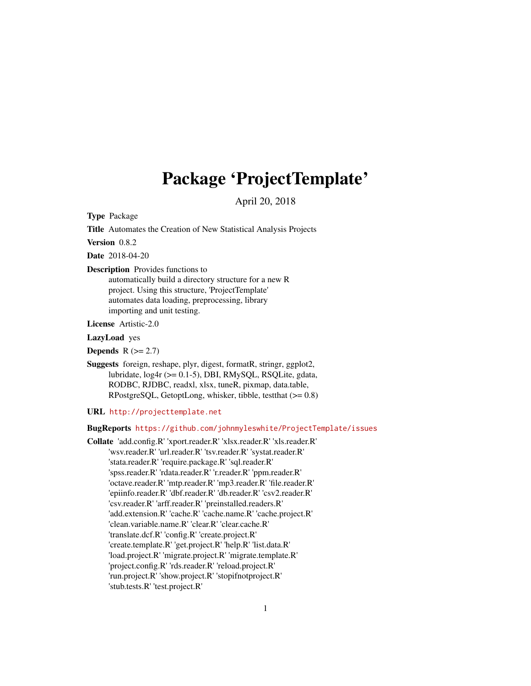# Package 'ProjectTemplate'

April 20, 2018

<span id="page-0-0"></span>Type Package

Title Automates the Creation of New Statistical Analysis Projects

Version 0.8.2

Date 2018-04-20

Description Provides functions to

automatically build a directory structure for a new R project. Using this structure, 'ProjectTemplate' automates data loading, preprocessing, library importing and unit testing.

License Artistic-2.0

LazyLoad yes

Depends  $R$  ( $>= 2.7$ )

Suggests foreign, reshape, plyr, digest, formatR, stringr, ggplot2, lubridate, log4r (>= 0.1-5), DBI, RMySQL, RSQLite, gdata, RODBC, RJDBC, readxl, xlsx, tuneR, pixmap, data.table, RPostgreSQL, GetoptLong, whisker, tibble, testthat (>= 0.8)

URL <http://projecttemplate.net>

BugReports <https://github.com/johnmyleswhite/ProjectTemplate/issues>

Collate 'add.config.R' 'xport.reader.R' 'xlsx.reader.R' 'xls.reader.R' 'wsv.reader.R' 'url.reader.R' 'tsv.reader.R' 'systat.reader.R' 'stata.reader.R' 'require.package.R' 'sql.reader.R' 'spss.reader.R' 'rdata.reader.R' 'r.reader.R' 'ppm.reader.R' 'octave.reader.R' 'mtp.reader.R' 'mp3.reader.R' 'file.reader.R' 'epiinfo.reader.R' 'dbf.reader.R' 'db.reader.R' 'csv2.reader.R' 'csv.reader.R' 'arff.reader.R' 'preinstalled.readers.R' 'add.extension.R' 'cache.R' 'cache.name.R' 'cache.project.R' 'clean.variable.name.R' 'clear.R' 'clear.cache.R' 'translate.dcf.R' 'config.R' 'create.project.R' 'create.template.R' 'get.project.R' 'help.R' 'list.data.R' 'load.project.R' 'migrate.project.R' 'migrate.template.R' 'project.config.R' 'rds.reader.R' 'reload.project.R' 'run.project.R' 'show.project.R' 'stopifnotproject.R' 'stub.tests.R' 'test.project.R'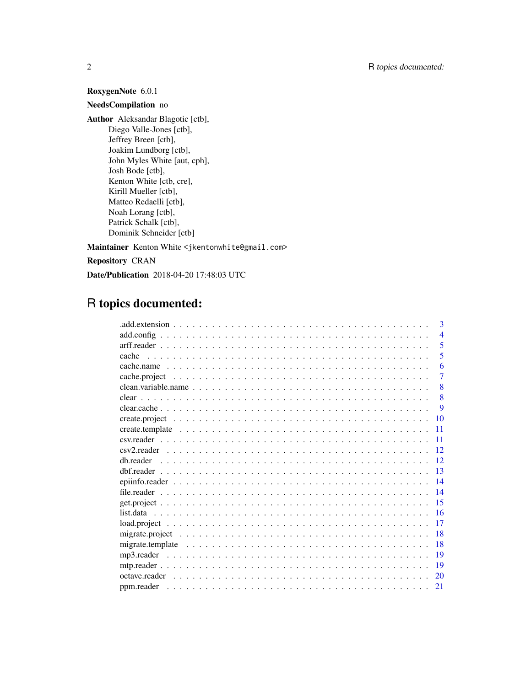## RoxygenNote 6.0.1

## NeedsCompilation no

Author Aleksandar Blagotic [ctb], Diego Valle-Jones [ctb], Jeffrey Breen [ctb], Joakim Lundborg [ctb], John Myles White [aut, cph], Josh Bode [ctb], Kenton White [ctb, cre], Kirill Mueller [ctb], Matteo Redaelli [ctb], Noah Lorang [ctb], Patrick Schalk [ctb], Dominik Schneider [ctb]

Maintainer Kenton White <jkentonwhite@gmail.com>

Repository CRAN

Date/Publication 2018-04-20 17:48:03 UTC

## R topics documented:

|           | 3                        |
|-----------|--------------------------|
|           | $\overline{\mathcal{A}}$ |
|           | 5                        |
|           | 5                        |
|           | 6                        |
|           | $\overline{7}$           |
|           | 8                        |
|           | 8                        |
|           | 9                        |
| 10        |                          |
| 11        |                          |
| 11        |                          |
| 12        |                          |
| 12        |                          |
| 13        |                          |
| 14        |                          |
| 14        |                          |
| 15        |                          |
| <b>16</b> |                          |
| 17        |                          |
| 18        |                          |
| 18        |                          |
| 19        |                          |
| 19        |                          |
| 20        |                          |
| 21        |                          |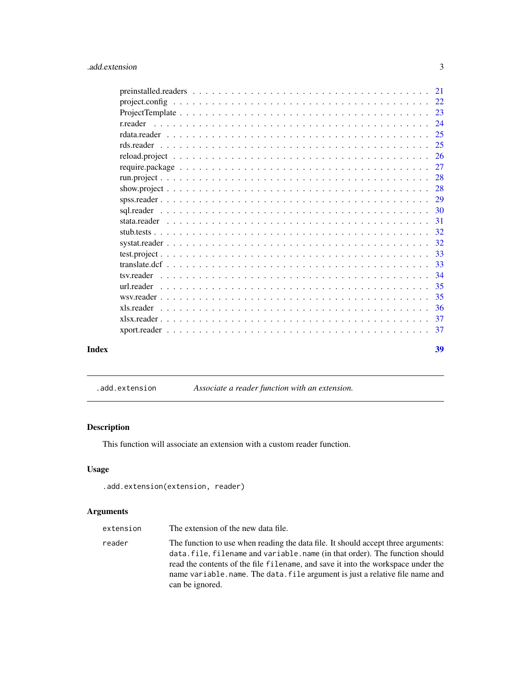<span id="page-2-0"></span>

|       | tsv.reader |    |
|-------|------------|----|
|       |            |    |
|       |            |    |
| Index |            | 39 |
|       |            |    |

.add.extension *Associate a reader function with an extension.*

## Description

This function will associate an extension with a custom reader function.

## Usage

.add.extension(extension, reader)

## Arguments

| extension | The extension of the new data file.                                                                                                                                                                                                                                                                                                                      |
|-----------|----------------------------------------------------------------------------------------------------------------------------------------------------------------------------------------------------------------------------------------------------------------------------------------------------------------------------------------------------------|
| reader    | The function to use when reading the data file. It should accept three arguments:<br>data. file, filename and variable. name (in that order). The function should<br>read the contents of the file filename, and save it into the workspace under the<br>name variable.name. The data, file argument is just a relative file name and<br>can be ignored. |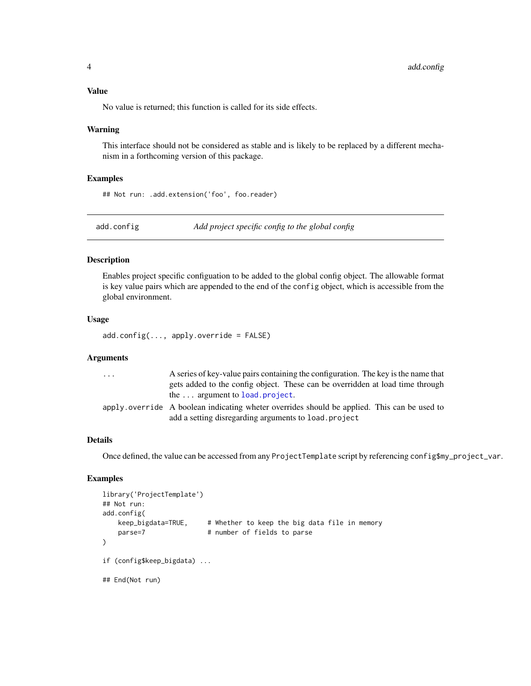### <span id="page-3-0"></span>Value

No value is returned; this function is called for its side effects.

#### Warning

This interface should not be considered as stable and is likely to be replaced by a different mechanism in a forthcoming version of this package.

#### Examples

## Not run: .add.extension('foo', foo.reader)

add.config *Add project specific config to the global config*

#### Description

Enables project specific configuation to be added to the global config object. The allowable format is key value pairs which are appended to the end of the config object, which is accessible from the global environment.

## Usage

add.config(..., apply.override = FALSE)

## Arguments

| $\ddotsc$ | A series of key-value pairs containing the configuration. The key is the name that          |
|-----------|---------------------------------------------------------------------------------------------|
|           | gets added to the config object. These can be overridden at load time through               |
|           | the $\dots$ argument to load project.                                                       |
|           | apply override A boolean indicating wheter overrides should be applied. This can be used to |
|           | add a setting disregarding arguments to load. project                                       |

## Details

Once defined, the value can be accessed from any ProjectTemplate script by referencing config\$my\_project\_var.

#### Examples

```
library('ProjectTemplate')
## Not run:
add.config(
   keep_bigdata=TRUE, # Whether to keep the big data file in memory
   parse=7 # number of fields to parse
\mathcal{L}if (config$keep_bigdata) ...
## End(Not run)
```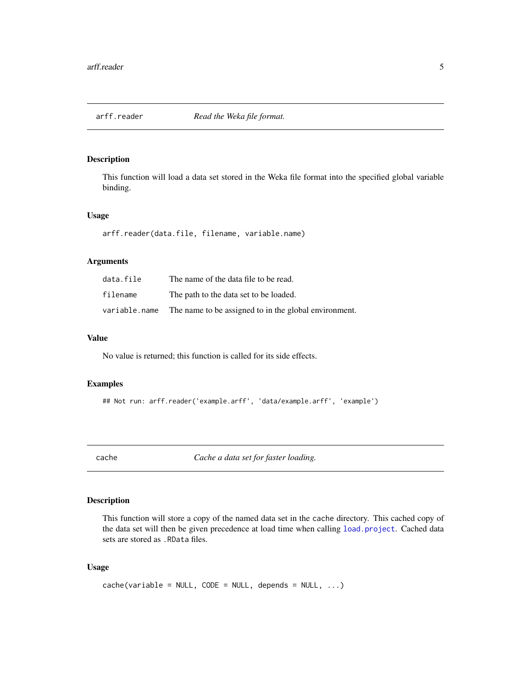<span id="page-4-0"></span>

This function will load a data set stored in the Weka file format into the specified global variable binding.

#### Usage

```
arff.reader(data.file, filename, variable.name)
```
#### Arguments

| data.file     | The name of the data file to be read.                 |
|---------------|-------------------------------------------------------|
| filename      | The path to the data set to be loaded.                |
| variable.name | The name to be assigned to in the global environment. |

## Value

No value is returned; this function is called for its side effects.

#### Examples

```
## Not run: arff.reader('example.arff', 'data/example.arff', 'example')
```
cache *Cache a data set for faster loading.*

## Description

This function will store a copy of the named data set in the cache directory. This cached copy of the data set will then be given precedence at load time when calling [load.project](#page-16-1). Cached data sets are stored as .RData files.

## Usage

```
cache(variable = NULL, CODE = NULL, depends = NULL, ...)
```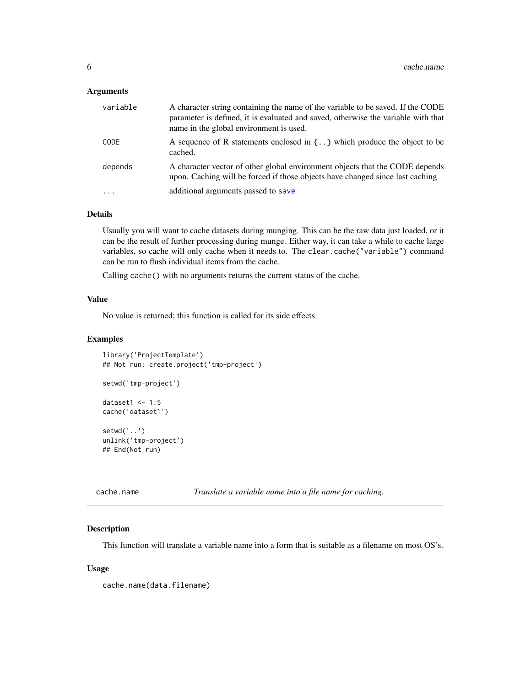#### <span id="page-5-0"></span>Arguments

| variable    | A character string containing the name of the variable to be saved. If the CODE<br>parameter is defined, it is evaluated and saved, otherwise the variable with that<br>name in the global environment is used. |
|-------------|-----------------------------------------------------------------------------------------------------------------------------------------------------------------------------------------------------------------|
| <b>CODE</b> | A sequence of R statements enclosed in $\{.\,.\,\}$ which produce the object to be<br>cached.                                                                                                                   |
| depends     | A character vector of other global environment objects that the CODE depends<br>upon. Caching will be forced if those objects have changed since last caching                                                   |
| $\ddotsc$   | additional arguments passed to save                                                                                                                                                                             |

### Details

Usually you will want to cache datasets during munging. This can be the raw data just loaded, or it can be the result of further processing during munge. Either way, it can take a while to cache large variables, so cache will only cache when it needs to. The clear.cache("variable") command can be run to flush individual items from the cache.

Calling cache() with no arguments returns the current status of the cache.

#### Value

No value is returned; this function is called for its side effects.

#### Examples

```
library('ProjectTemplate')
## Not run: create.project('tmp-project')
setwd('tmp-project')
dataset1 <- 1:5
cache('dataset1')
setwd('..')
unlink('tmp-project')
## End(Not run)
```
cache.name *Translate a variable name into a file name for caching.*

## Description

This function will translate a variable name into a form that is suitable as a filename on most OS's.

#### Usage

cache.name(data.filename)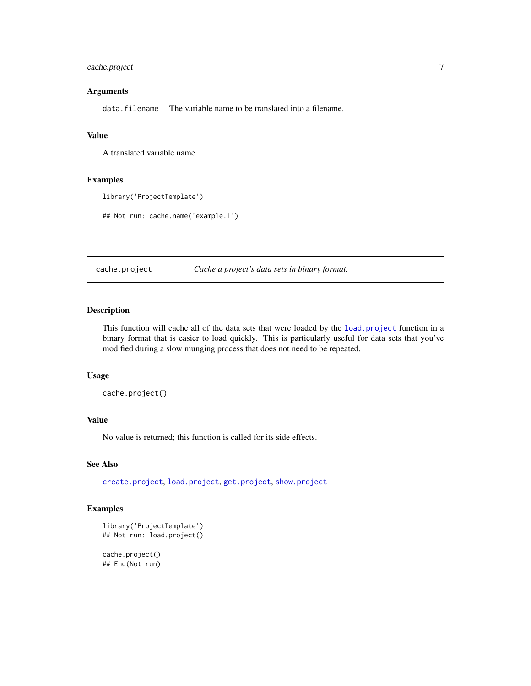## <span id="page-6-0"></span>cache.project 7

## Arguments

data. filename The variable name to be translated into a filename.

#### Value

A translated variable name.

## Examples

```
library('ProjectTemplate')
```
## Not run: cache.name('example.1')

<span id="page-6-1"></span>cache.project *Cache a project's data sets in binary format.*

## Description

This function will cache all of the data sets that were loaded by the [load.project](#page-16-1) function in a binary format that is easier to load quickly. This is particularly useful for data sets that you've modified during a slow munging process that does not need to be repeated.

#### Usage

cache.project()

## Value

No value is returned; this function is called for its side effects.

#### See Also

[create.project](#page-9-1), [load.project](#page-16-1), [get.project](#page-14-1), [show.project](#page-27-1)

## Examples

```
library('ProjectTemplate')
## Not run: load.project()
```
cache.project() ## End(Not run)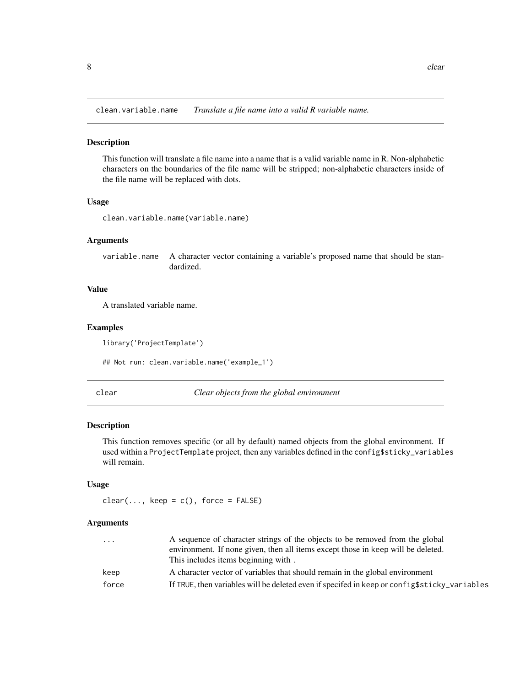<span id="page-7-0"></span>clean.variable.name *Translate a file name into a valid R variable name.*

#### Description

This function will translate a file name into a name that is a valid variable name in R. Non-alphabetic characters on the boundaries of the file name will be stripped; non-alphabetic characters inside of the file name will be replaced with dots.

#### Usage

```
clean.variable.name(variable.name)
```
#### Arguments

variable.name A character vector containing a variable's proposed name that should be standardized.

## Value

A translated variable name.

#### Examples

library('ProjectTemplate')

## Not run: clean.variable.name('example\_1')

clear *Clear objects from the global environment*

## Description

This function removes specific (or all by default) named objects from the global environment. If used within a ProjectTemplate project, then any variables defined in the config\$sticky\_variables will remain.

#### Usage

```
clear(..., keep = c(), force = FALSE)
```
#### **Arguments**

| $\cdot$ | A sequence of character strings of the objects to be removed from the global                 |  |
|---------|----------------------------------------------------------------------------------------------|--|
|         | environment. If none given, then all items except those in keep will be deleted.             |  |
|         | This includes items beginning with.                                                          |  |
| keep    | A character vector of variables that should remain in the global environment                 |  |
| force   | If TRUE, then variables will be deleted even if specifed in keep or config\$sticky_variables |  |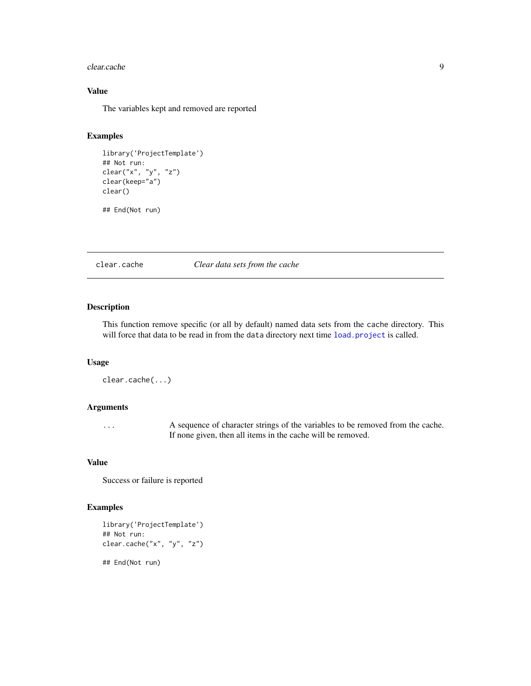#### <span id="page-8-0"></span>clear.cache 99

## Value

The variables kept and removed are reported

## Examples

```
library('ProjectTemplate')
## Not run:
clear("x", "y", "z")
clear(keep="a")
clear()
```
## End(Not run)

clear.cache *Clear data sets from the cache*

## Description

This function remove specific (or all by default) named data sets from the cache directory. This will force that data to be read in from the data directory next time [load.project](#page-16-1) is called.

#### Usage

```
clear.cache(...)
```
#### Arguments

... A sequence of character strings of the variables to be removed from the cache. If none given, then all items in the cache will be removed.

#### Value

Success or failure is reported

#### Examples

```
library('ProjectTemplate')
## Not run:
clear.cache("x", "y", "z")
## End(Not run)
```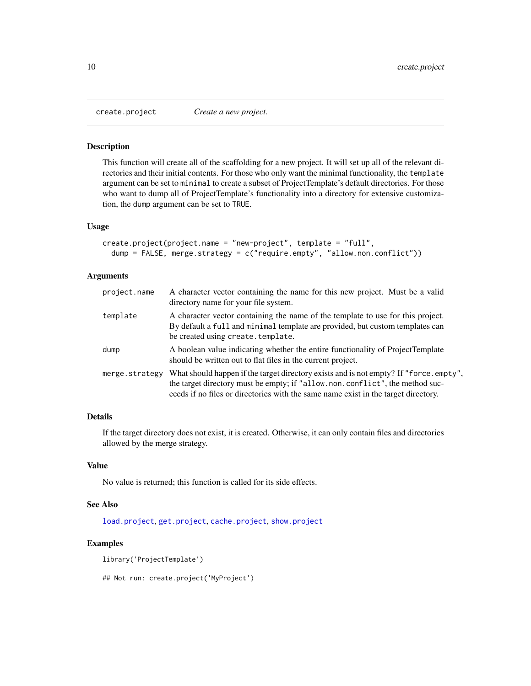<span id="page-9-1"></span><span id="page-9-0"></span>

This function will create all of the scaffolding for a new project. It will set up all of the relevant directories and their initial contents. For those who only want the minimal functionality, the template argument can be set to minimal to create a subset of ProjectTemplate's default directories. For those who want to dump all of ProjectTemplate's functionality into a directory for extensive customization, the dump argument can be set to TRUE.

#### Usage

```
create.project(project.name = "new-project", template = "full",
  dump = FALSE, merge.strategy = c("require.empty", "allow.non.conflict"))
```
#### Arguments

| project.name   | A character vector containing the name for this new project. Must be a valid<br>directory name for your file system.                                                                                                                                        |
|----------------|-------------------------------------------------------------------------------------------------------------------------------------------------------------------------------------------------------------------------------------------------------------|
| template       | A character vector containing the name of the template to use for this project.<br>By default a full and minimal template are provided, but custom templates can<br>be created using create. template.                                                      |
| dump           | A boolean value indicating whether the entire functionality of ProjectTemplate<br>should be written out to flat files in the current project.                                                                                                               |
| merge.strategy | What should happen if the target directory exists and is not empty? If "force.empty",<br>the target directory must be empty; if "allow.non.conflict", the method suc-<br>ceeds if no files or directories with the same name exist in the target directory. |

## Details

If the target directory does not exist, it is created. Otherwise, it can only contain files and directories allowed by the merge strategy.

### Value

No value is returned; this function is called for its side effects.

#### See Also

[load.project](#page-16-1), [get.project](#page-14-1), [cache.project](#page-6-1), [show.project](#page-27-1)

#### Examples

library('ProjectTemplate')

## Not run: create.project('MyProject')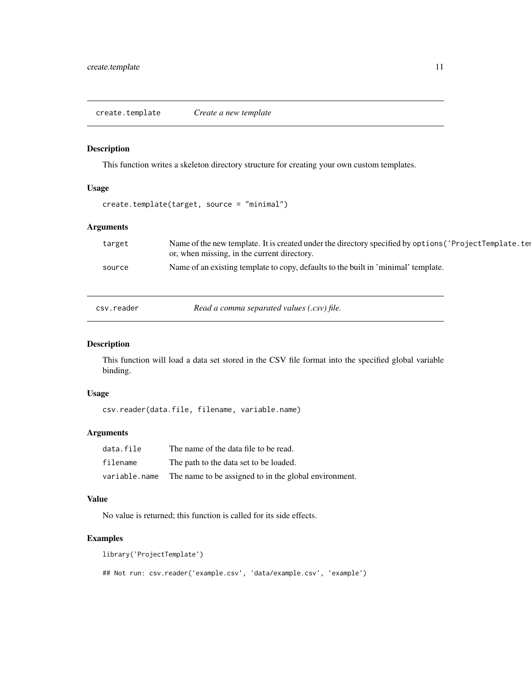<span id="page-10-0"></span>This function writes a skeleton directory structure for creating your own custom templates.

## Usage

create.template(target, source = "minimal")

## Arguments

| target | Name of the new template. It is created under the directory specified by options ('ProjectTemplate.ter<br>or, when missing, in the current directory. |
|--------|-------------------------------------------------------------------------------------------------------------------------------------------------------|
| source | Name of an existing template to copy, defaults to the built in 'minimal' template.                                                                    |
|        |                                                                                                                                                       |
|        |                                                                                                                                                       |

csv.reader *Read a comma separated values (.csv) file.*

#### Description

This function will load a data set stored in the CSV file format into the specified global variable binding.

#### Usage

csv.reader(data.file, filename, variable.name)

#### Arguments

| data.file     | The name of the data file to be read.                 |
|---------------|-------------------------------------------------------|
| filename      | The path to the data set to be loaded.                |
| variable.name | The name to be assigned to in the global environment. |

#### Value

No value is returned; this function is called for its side effects.

## Examples

```
library('ProjectTemplate')
```
## Not run: csv.reader('example.csv', 'data/example.csv', 'example')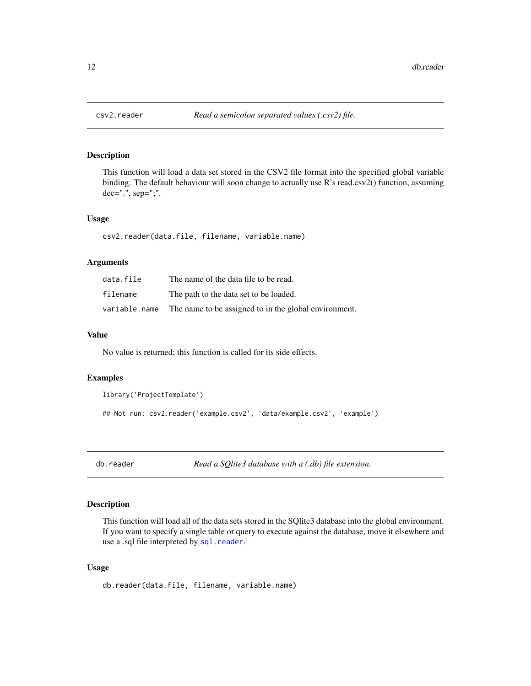This function will load a data set stored in the CSV2 file format into the specified global variable binding. The default behaviour will soon change to actually use R's read.csv2() function, assuming dec=".", sep=";".

#### Usage

csv2.reader(data.file, filename, variable.name)

#### Arguments

| data.file     | The name of the data file to be read.                 |
|---------------|-------------------------------------------------------|
| filename      | The path to the data set to be loaded.                |
| variable.name | The name to be assigned to in the global environment. |

## Value

No value is returned; this function is called for its side effects.

#### Examples

```
library('ProjectTemplate')
```

```
## Not run: csv2.reader('example.csv2', 'data/example.csv2', 'example')
```
db.reader *Read a SQlite3 database with a (.db) file extension.*

#### Description

This function will load all of the data sets stored in the SQlite3 database into the global environment. If you want to specify a single table or query to execute against the database, move it elsewhere and use a .sql file interpreted by [sql.reader](#page-29-1).

## Usage

```
db.reader(data.file, filename, variable.name)
```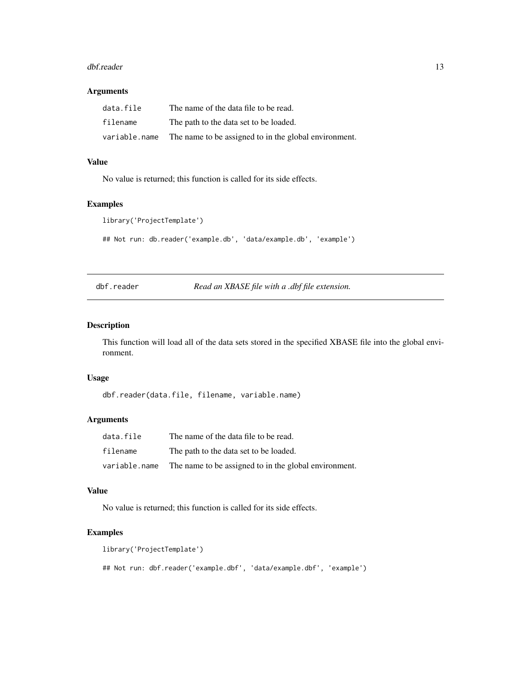#### <span id="page-12-0"></span>dbf.reader 13

#### Arguments

| data.file     | The name of the data file to be read.                 |
|---------------|-------------------------------------------------------|
| filename      | The path to the data set to be loaded.                |
| variable.name | The name to be assigned to in the global environment. |

## Value

No value is returned; this function is called for its side effects.

#### Examples

```
library('ProjectTemplate')
```
## Not run: db.reader('example.db', 'data/example.db', 'example')

dbf.reader *Read an XBASE file with a .dbf file extension.*

#### Description

This function will load all of the data sets stored in the specified XBASE file into the global environment.

#### Usage

dbf.reader(data.file, filename, variable.name)

## Arguments

| data.file     | The name of the data file to be read.                 |
|---------------|-------------------------------------------------------|
| filename      | The path to the data set to be loaded.                |
| variable.name | The name to be assigned to in the global environment. |

## Value

No value is returned; this function is called for its side effects.

#### Examples

```
library('ProjectTemplate')
## Not run: dbf.reader('example.dbf', 'data/example.dbf', 'example')
```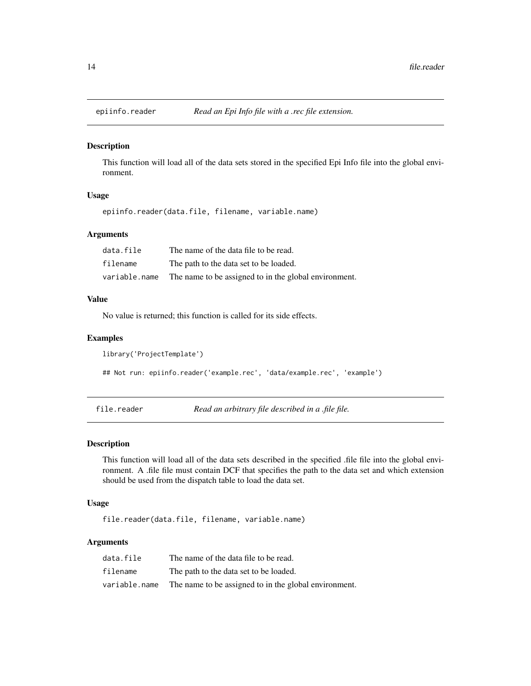<span id="page-13-0"></span>

This function will load all of the data sets stored in the specified Epi Info file into the global environment.

## Usage

```
epiinfo.reader(data.file, filename, variable.name)
```
## Arguments

| data.file     | The name of the data file to be read.                 |
|---------------|-------------------------------------------------------|
| filename      | The path to the data set to be loaded.                |
| variable.name | The name to be assigned to in the global environment. |

#### Value

No value is returned; this function is called for its side effects.

#### Examples

```
library('ProjectTemplate')
```

```
## Not run: epiinfo.reader('example.rec', 'data/example.rec', 'example')
```
file.reader *Read an arbitrary file described in a .file file.*

#### Description

This function will load all of the data sets described in the specified .file file into the global environment. A .file file must contain DCF that specifies the path to the data set and which extension should be used from the dispatch table to load the data set.

#### Usage

file.reader(data.file, filename, variable.name)

## Arguments

| data.file     | The name of the data file to be read.                 |
|---------------|-------------------------------------------------------|
| filename      | The path to the data set to be loaded.                |
| variable.name | The name to be assigned to in the global environment. |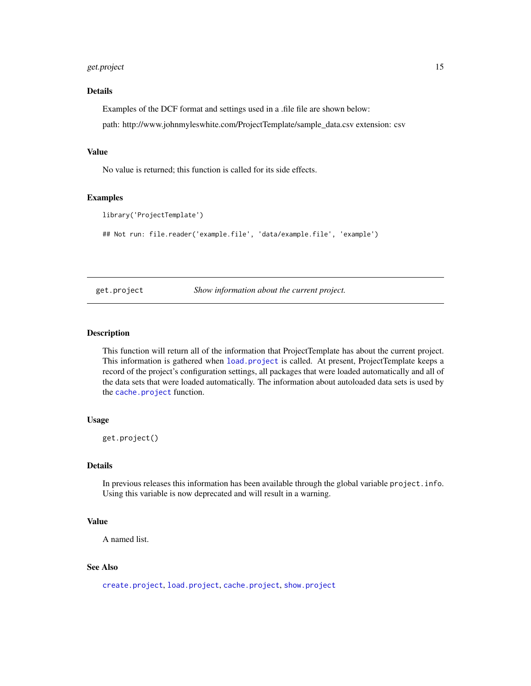## <span id="page-14-0"></span>get.project 15

### Details

Examples of the DCF format and settings used in a .file file are shown below:

path: http://www.johnmyleswhite.com/ProjectTemplate/sample\_data.csv extension: csv

## Value

No value is returned; this function is called for its side effects.

#### Examples

```
library('ProjectTemplate')
```
## Not run: file.reader('example.file', 'data/example.file', 'example')

<span id="page-14-1"></span>get.project *Show information about the current project.*

## Description

This function will return all of the information that ProjectTemplate has about the current project. This information is gathered when [load.project](#page-16-1) is called. At present, ProjectTemplate keeps a record of the project's configuration settings, all packages that were loaded automatically and all of the data sets that were loaded automatically. The information about autoloaded data sets is used by the [cache.project](#page-6-1) function.

#### Usage

get.project()

## Details

In previous releases this information has been available through the global variable project.info. Using this variable is now deprecated and will result in a warning.

#### Value

A named list.

## See Also

[create.project](#page-9-1), [load.project](#page-16-1), [cache.project](#page-6-1), [show.project](#page-27-1)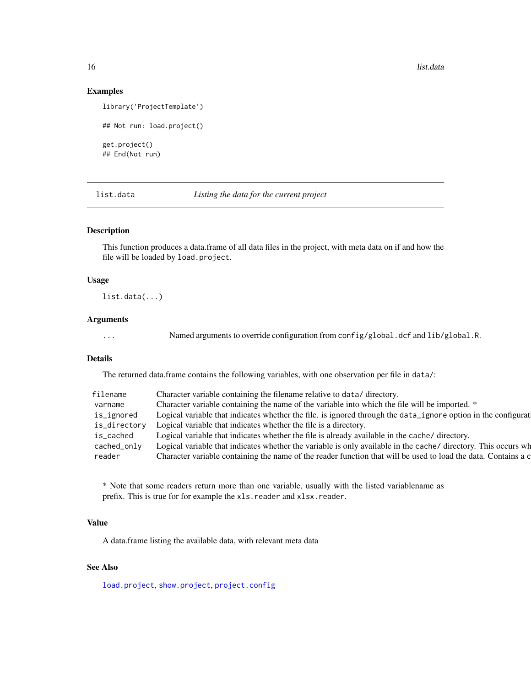16 list.data

#### Examples

```
library('ProjectTemplate')
## Not run: load.project()
get.project()
```
## End(Not run)

list.data *Listing the data for the current project*

### Description

This function produces a data.frame of all data files in the project, with meta data on if and how the file will be loaded by load.project.

## Usage

list.data(...)

## Arguments

... Named arguments to override configuration from config/global.dcf and lib/global.R.

### Details

The returned data.frame contains the following variables, with one observation per file in data/:

| filename     | Character variable containing the filename relative to data/directory.                                         |
|--------------|----------------------------------------------------------------------------------------------------------------|
| varname      | Character variable containing the name of the variable into which the file will be imported. *                 |
| is_ignored   | Logical variable that indicates whether the file. is ignored through the data_ignore option in the configurat  |
| is_directory | Logical variable that indicates whether the file is a directory.                                               |
| is_cached    | Logical variable that indicates whether the file is already available in the cache/ directory.                 |
| cached_only  | Logical variable that indicates whether the variable is only available in the cache/ directory. This occurs wh |
| reader       | Character variable containing the name of the reader function that will be used to load the data. Contains a c |

\* Note that some readers return more than one variable, usually with the listed variablename as prefix. This is true for for example the xls.reader and xlsx.reader.

## Value

A data.frame listing the available data, with relevant meta data

## See Also

[load.project](#page-16-1), [show.project](#page-27-1), [project.config](#page-21-1)

<span id="page-15-0"></span>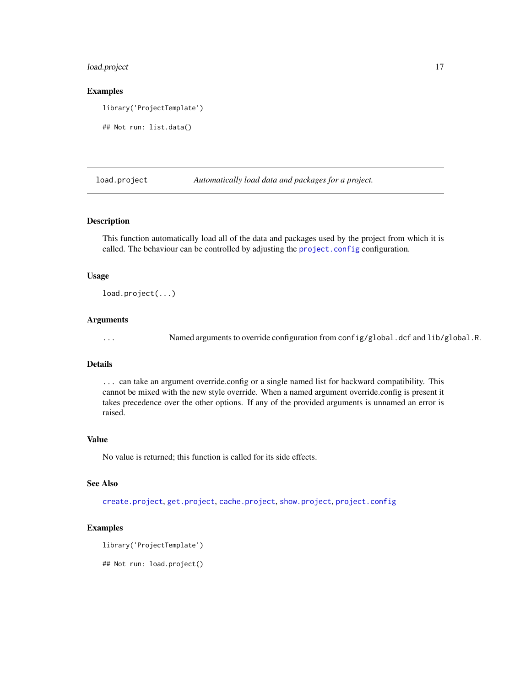## <span id="page-16-0"></span>load.project 17

#### Examples

library('ProjectTemplate')

## Not run: list.data()

<span id="page-16-1"></span>load.project *Automatically load data and packages for a project.*

#### Description

This function automatically load all of the data and packages used by the project from which it is called. The behaviour can be controlled by adjusting the [project.config](#page-21-1) configuration.

#### Usage

load.project(...)

#### Arguments

... Named arguments to override configuration from config/global.dcf and lib/global.R.

#### Details

... can take an argument override.config or a single named list for backward compatibility. This cannot be mixed with the new style override. When a named argument override.config is present it takes precedence over the other options. If any of the provided arguments is unnamed an error is raised.

#### Value

No value is returned; this function is called for its side effects.

## See Also

[create.project](#page-9-1), [get.project](#page-14-1), [cache.project](#page-6-1), [show.project](#page-27-1), [project.config](#page-21-1)

#### Examples

```
library('ProjectTemplate')
```
## Not run: load.project()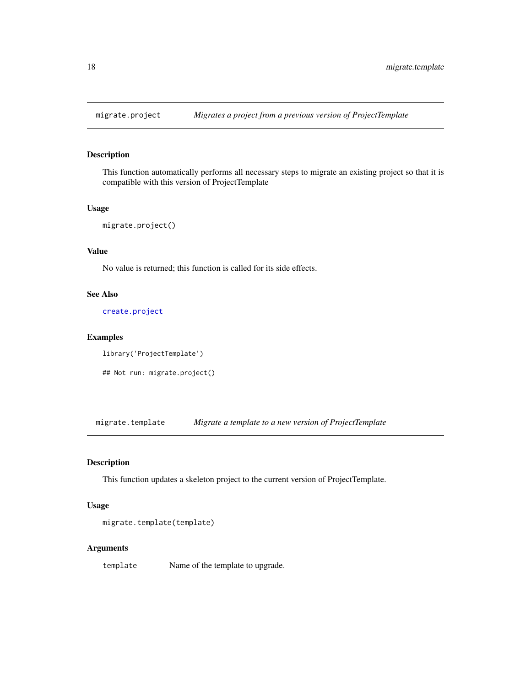<span id="page-17-0"></span>

This function automatically performs all necessary steps to migrate an existing project so that it is compatible with this version of ProjectTemplate

#### Usage

```
migrate.project()
```
## Value

No value is returned; this function is called for its side effects.

#### See Also

[create.project](#page-9-1)

### Examples

```
library('ProjectTemplate')
```
## Not run: migrate.project()

migrate.template *Migrate a template to a new version of ProjectTemplate*

## Description

This function updates a skeleton project to the current version of ProjectTemplate.

#### Usage

```
migrate.template(template)
```
#### Arguments

template Name of the template to upgrade.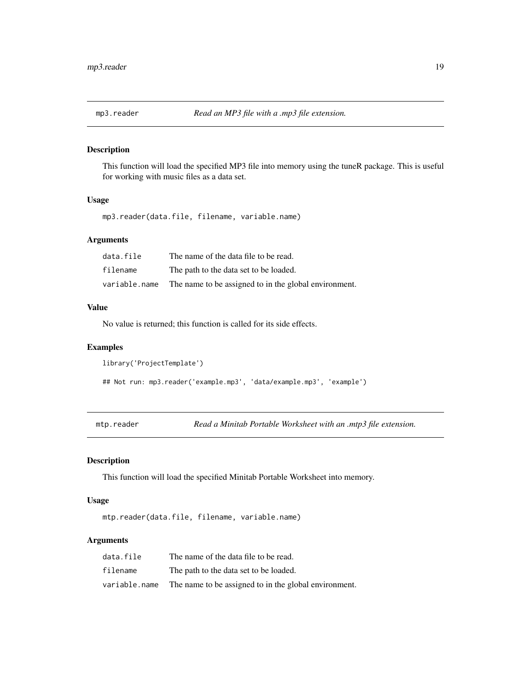<span id="page-18-0"></span>

This function will load the specified MP3 file into memory using the tuneR package. This is useful for working with music files as a data set.

## Usage

mp3.reader(data.file, filename, variable.name)

## Arguments

| data.file     | The name of the data file to be read.                 |
|---------------|-------------------------------------------------------|
| filename      | The path to the data set to be loaded.                |
| variable.name | The name to be assigned to in the global environment. |

#### Value

No value is returned; this function is called for its side effects.

## Examples

```
library('ProjectTemplate')
```
## Not run: mp3.reader('example.mp3', 'data/example.mp3', 'example')

mtp.reader *Read a Minitab Portable Worksheet with an .mtp3 file extension.*

## Description

This function will load the specified Minitab Portable Worksheet into memory.

## Usage

mtp.reader(data.file, filename, variable.name)

#### Arguments

| data.file     | The name of the data file to be read.                 |
|---------------|-------------------------------------------------------|
| filename      | The path to the data set to be loaded.                |
| variable.name | The name to be assigned to in the global environment. |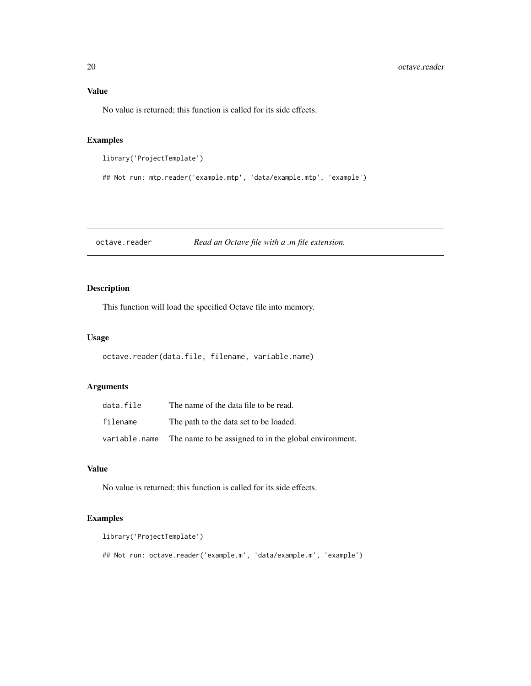## <span id="page-19-0"></span>Value

No value is returned; this function is called for its side effects.

## Examples

```
library('ProjectTemplate')
```

```
## Not run: mtp.reader('example.mtp', 'data/example.mtp', 'example')
```
octave.reader *Read an Octave file with a .m file extension.*

## Description

This function will load the specified Octave file into memory.

### Usage

```
octave.reader(data.file, filename, variable.name)
```
## Arguments

| data.file     | The name of the data file to be read.                 |
|---------------|-------------------------------------------------------|
| filename      | The path to the data set to be loaded.                |
| variable.name | The name to be assigned to in the global environment. |

#### Value

No value is returned; this function is called for its side effects.

## Examples

```
library('ProjectTemplate')
```
## Not run: octave.reader('example.m', 'data/example.m', 'example')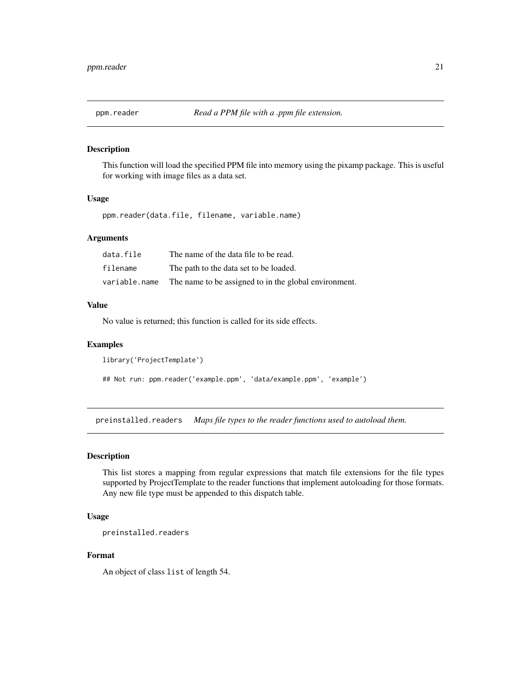<span id="page-20-0"></span>

This function will load the specified PPM file into memory using the pixamp package. This is useful for working with image files as a data set.

#### Usage

ppm.reader(data.file, filename, variable.name)

## Arguments

| data.file     | The name of the data file to be read.                 |
|---------------|-------------------------------------------------------|
| filename      | The path to the data set to be loaded.                |
| variable.name | The name to be assigned to in the global environment. |

### Value

No value is returned; this function is called for its side effects.

#### Examples

```
library('ProjectTemplate')
```
## Not run: ppm.reader('example.ppm', 'data/example.ppm', 'example')

preinstalled.readers *Maps file types to the reader functions used to autoload them.*

## Description

This list stores a mapping from regular expressions that match file extensions for the file types supported by ProjectTemplate to the reader functions that implement autoloading for those formats. Any new file type must be appended to this dispatch table.

#### Usage

```
preinstalled.readers
```
#### Format

An object of class list of length 54.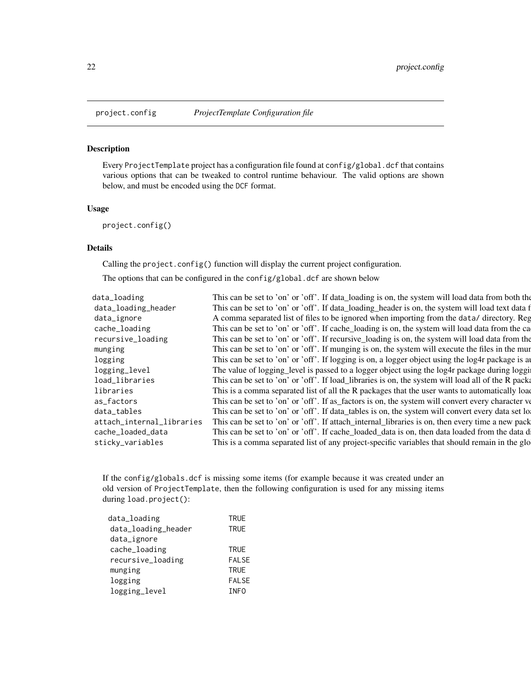<span id="page-21-1"></span><span id="page-21-0"></span>

Every ProjectTemplate project has a configuration file found at config/global.dcf that contains various options that can be tweaked to control runtime behaviour. The valid options are shown below, and must be encoded using the DCF format.

### Usage

project.config()

## Details

Calling the project.config() function will display the current project configuration.

The options that can be configured in the config/global.dcf are shown below

| data_loading              | This can be set to 'on' or 'off'. If data_loading is on, the system will load data from both the  |
|---------------------------|---------------------------------------------------------------------------------------------------|
| data_loading_header       | This can be set to 'on' or 'off'. If data_loading_header is on, the system will load text data f  |
| data_ignore               | A comma separated list of files to be ignored when importing from the data/ directory. Reg        |
| cache_loading             | This can be set to 'on' or 'off'. If cache_loading is on, the system will load data from the ca   |
| recursive_loading         | This can be set to 'on' or 'off'. If recursive loading is on, the system will load data from the  |
| munging                   | This can be set to 'on' or 'off'. If munging is on, the system will execute the files in the mun  |
| logging                   | This can be set to 'on' or 'off'. If logging is on, a logger object using the log4r package is a  |
| logging_level             | The value of logging_level is passed to a logger object using the log4r package during loggi      |
| load_libraries            | This can be set to 'on' or 'off'. If load_libraries is on, the system will load all of the R pack |
| libraries                 | This is a comma separated list of all the R packages that the user wants to automatically load    |
| as_factors                | This can be set to 'on' or 'off'. If as factors is on, the system will convert every character ve |
| data_tables               | This can be set to 'on' or 'off'. If data_tables is on, the system will convert every data set lo |
| attach_internal_libraries | This can be set to 'on' or 'off'. If attach_internal_libraries is on, then every time a new pack  |
| cache_loaded_data         | This can be set to 'on' or 'off'. If cache_loaded_data is on, then data loaded from the data d    |
| sticky_variables          | This is a comma separated list of any project-specific variables that should remain in the glo    |
|                           |                                                                                                   |

If the config/globals.dcf is missing some items (for example because it was created under an old version of ProjectTemplate, then the following configuration is used for any missing items during load.project():

| data_loading        | <b>TRUE</b>  |
|---------------------|--------------|
| data_loading_header | <b>TRUE</b>  |
| data_ignore         |              |
| cache_loading       | <b>TRUE</b>  |
| recursive_loading   | <b>FALSE</b> |
| munging             | <b>TRUE</b>  |
| logging             | <b>FALSE</b> |
| logging_level       | <b>INFO</b>  |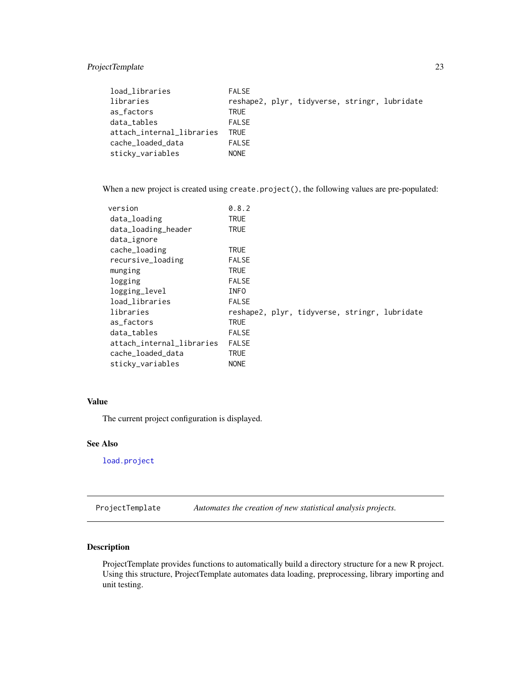## <span id="page-22-0"></span>ProjectTemplate 23

| <b>FALSE</b> |  |                                               |
|--------------|--|-----------------------------------------------|
|              |  |                                               |
| <b>TRUE</b>  |  |                                               |
| <b>FALSE</b> |  |                                               |
| <b>TRUE</b>  |  |                                               |
| <b>FALSE</b> |  |                                               |
| <b>NONE</b>  |  |                                               |
|              |  | reshape2, plyr, tidyverse, stringr, lubridate |

When a new project is created using create.project(), the following values are pre-populated:

| version                   | 0.8.2                                         |
|---------------------------|-----------------------------------------------|
| data_loading              | TRUE                                          |
| data_loading_header       | TRUE                                          |
| data_ignore               |                                               |
| cache_loading             | TRUE                                          |
| recursive_loading         | <b>FALSE</b>                                  |
| munging                   | <b>TRUE</b>                                   |
| logging                   | <b>FALSE</b>                                  |
| logging_level             | <b>INFO</b>                                   |
| load_libraries            | <b>FALSE</b>                                  |
| libraries                 | reshape2, plyr, tidyverse, stringr, lubridate |
| as factors                | TRUE                                          |
| data_tables               | <b>FALSE</b>                                  |
| attach_internal_libraries | <b>FALSE</b>                                  |
| cache_loaded_data         | TRUE                                          |
| sticky_variables          | <b>NONE</b>                                   |
|                           |                                               |

## Value

The current project configuration is displayed.

#### See Also

[load.project](#page-16-1)

ProjectTemplate *Automates the creation of new statistical analysis projects.*

## Description

ProjectTemplate provides functions to automatically build a directory structure for a new R project. Using this structure, ProjectTemplate automates data loading, preprocessing, library importing and unit testing.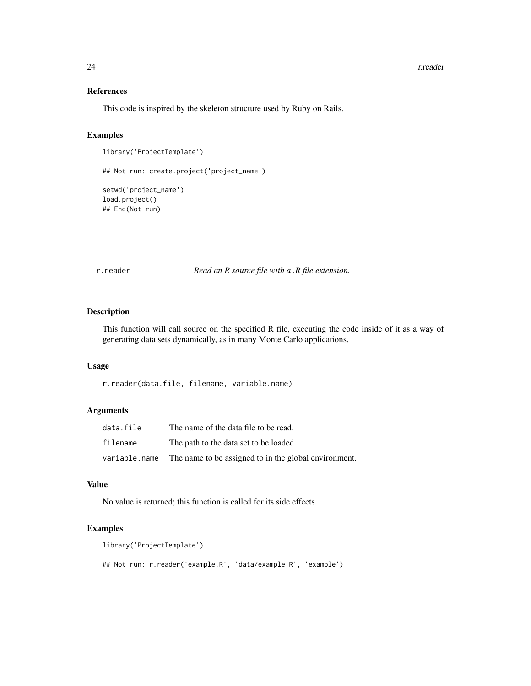## References

This code is inspired by the skeleton structure used by Ruby on Rails.

#### Examples

```
library('ProjectTemplate')
## Not run: create.project('project_name')
setwd('project_name')
load.project()
## End(Not run)
```
r.reader *Read an R source file with a .R file extension.*

#### Description

This function will call source on the specified R file, executing the code inside of it as a way of generating data sets dynamically, as in many Monte Carlo applications.

## Usage

r.reader(data.file, filename, variable.name)

#### Arguments

| data.file     | The name of the data file to be read.                 |
|---------------|-------------------------------------------------------|
| filename      | The path to the data set to be loaded.                |
| variable.name | The name to be assigned to in the global environment. |

#### Value

No value is returned; this function is called for its side effects.

## Examples

```
library('ProjectTemplate')
## Not run: r.reader('example.R', 'data/example.R', 'example')
```
<span id="page-23-0"></span>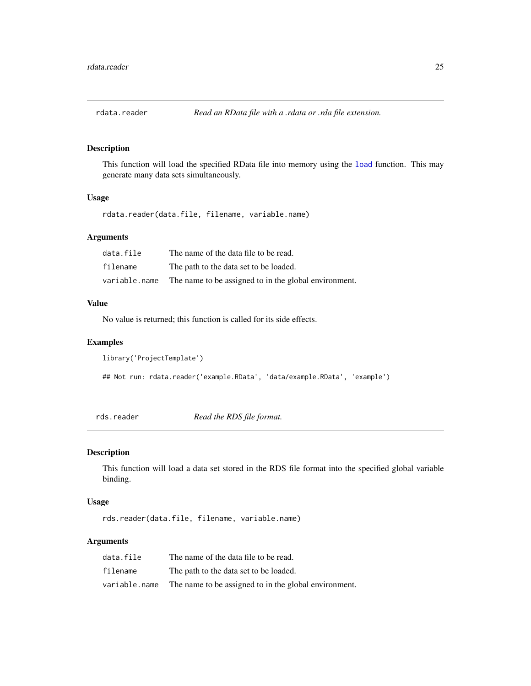<span id="page-24-0"></span>

This function will load the specified RData file into memory using the [load](#page-0-0) function. This may generate many data sets simultaneously.

#### Usage

rdata.reader(data.file, filename, variable.name)

#### Arguments

| data.file     | The name of the data file to be read.                 |
|---------------|-------------------------------------------------------|
| filename      | The path to the data set to be loaded.                |
| variable.name | The name to be assigned to in the global environment. |

## Value

No value is returned; this function is called for its side effects.

## Examples

```
library('ProjectTemplate')
```

```
## Not run: rdata.reader('example.RData', 'data/example.RData', 'example')
```
rds.reader *Read the RDS file format.*

## Description

This function will load a data set stored in the RDS file format into the specified global variable binding.

## Usage

rds.reader(data.file, filename, variable.name)

## Arguments

| data.file     | The name of the data file to be read.                 |
|---------------|-------------------------------------------------------|
| filename      | The path to the data set to be loaded.                |
| variable.name | The name to be assigned to in the global environment. |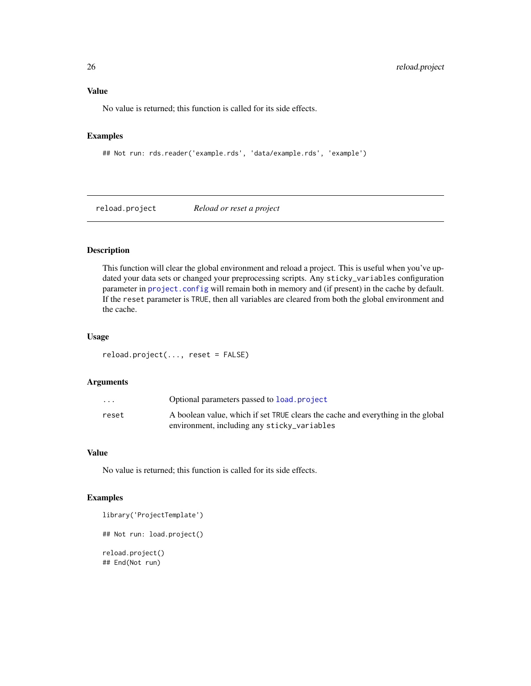## <span id="page-25-0"></span>Value

No value is returned; this function is called for its side effects.

## Examples

```
## Not run: rds.reader('example.rds', 'data/example.rds', 'example')
```
reload.project *Reload or reset a project*

## Description

This function will clear the global environment and reload a project. This is useful when you've updated your data sets or changed your preprocessing scripts. Any sticky\_variables configuration parameter in [project.config](#page-21-1) will remain both in memory and (if present) in the cache by default. If the reset parameter is TRUE, then all variables are cleared from both the global environment and the cache.

## Usage

reload.project(..., reset = FALSE)

#### Arguments

| $\cdot$ $\cdot$ $\cdot$ | Optional parameters passed to load project                                       |
|-------------------------|----------------------------------------------------------------------------------|
| reset                   | A boolean value, which if set TRUE clears the cache and everything in the global |
|                         | environment, including any sticky_variables                                      |

#### Value

No value is returned; this function is called for its side effects.

#### Examples

```
library('ProjectTemplate')
## Not run: load.project()
reload.project()
## End(Not run)
```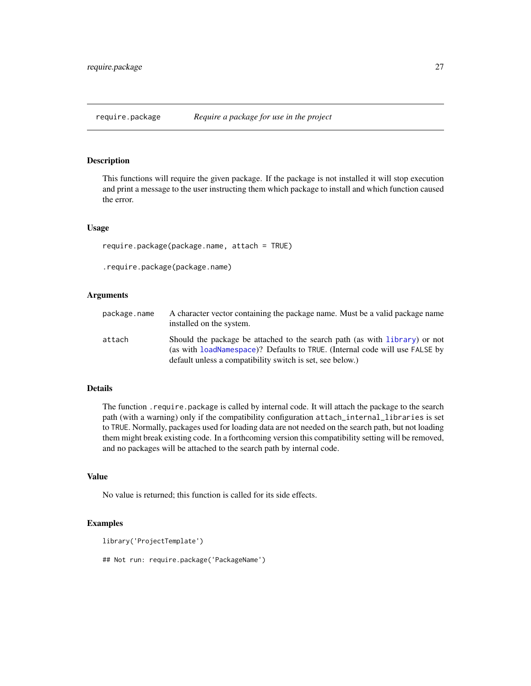<span id="page-26-0"></span>This functions will require the given package. If the package is not installed it will stop execution and print a message to the user instructing them which package to install and which function caused the error.

#### Usage

```
require.package(package.name, attach = TRUE)
```
.require.package(package.name)

## Arguments

| package.name | A character vector containing the package name. Must be a valid package name<br>installed on the system.                                                                                                               |
|--------------|------------------------------------------------------------------------------------------------------------------------------------------------------------------------------------------------------------------------|
| attach       | Should the package be attached to the search path (as with library) or not<br>(as with loadNamespace)? Defaults to TRUE. (Internal code will use FALSE by<br>default unless a compatibility switch is set, see below.) |

#### Details

The function .require.package is called by internal code. It will attach the package to the search path (with a warning) only if the compatibility configuration attach\_internal\_libraries is set to TRUE. Normally, packages used for loading data are not needed on the search path, but not loading them might break existing code. In a forthcoming version this compatibility setting will be removed, and no packages will be attached to the search path by internal code.

## Value

No value is returned; this function is called for its side effects.

#### Examples

```
library('ProjectTemplate')
```
## Not run: require.package('PackageName')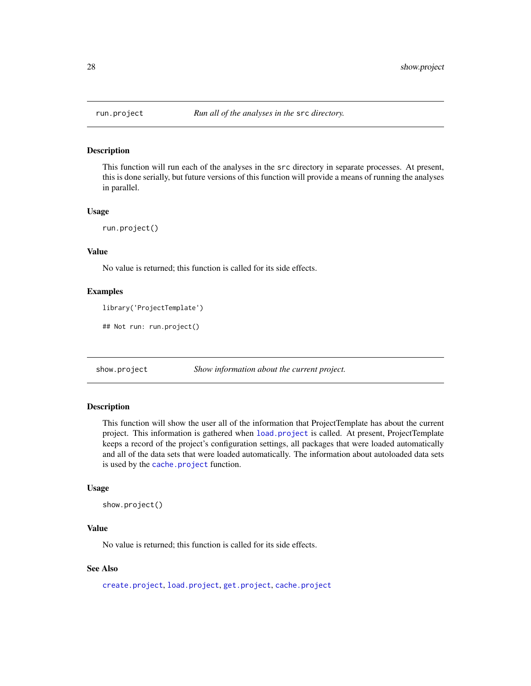<span id="page-27-0"></span>

This function will run each of the analyses in the src directory in separate processes. At present, this is done serially, but future versions of this function will provide a means of running the analyses in parallel.

#### Usage

run.project()

## Value

No value is returned; this function is called for its side effects.

#### Examples

```
library('ProjectTemplate')
```
## Not run: run.project()

<span id="page-27-1"></span>show.project *Show information about the current project.*

#### **Description**

This function will show the user all of the information that ProjectTemplate has about the current project. This information is gathered when [load.project](#page-16-1) is called. At present, ProjectTemplate keeps a record of the project's configuration settings, all packages that were loaded automatically and all of the data sets that were loaded automatically. The information about autoloaded data sets is used by the [cache.project](#page-6-1) function.

#### Usage

```
show.project()
```
## Value

No value is returned; this function is called for its side effects.

## See Also

[create.project](#page-9-1), [load.project](#page-16-1), [get.project](#page-14-1), [cache.project](#page-6-1)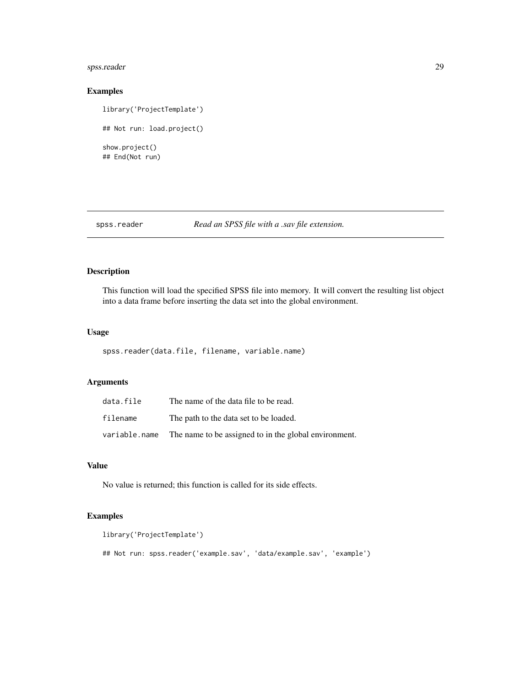## <span id="page-28-0"></span>spss.reader 29

## Examples

library('ProjectTemplate') ## Not run: load.project() show.project() ## End(Not run)

## spss.reader *Read an SPSS file with a .sav file extension.*

## Description

This function will load the specified SPSS file into memory. It will convert the resulting list object into a data frame before inserting the data set into the global environment.

#### Usage

spss.reader(data.file, filename, variable.name)

## Arguments

| data.file     | The name of the data file to be read.                 |
|---------------|-------------------------------------------------------|
| filename      | The path to the data set to be loaded.                |
| variable.name | The name to be assigned to in the global environment. |

### Value

No value is returned; this function is called for its side effects.

## Examples

```
library('ProjectTemplate')
```
## Not run: spss.reader('example.sav', 'data/example.sav', 'example')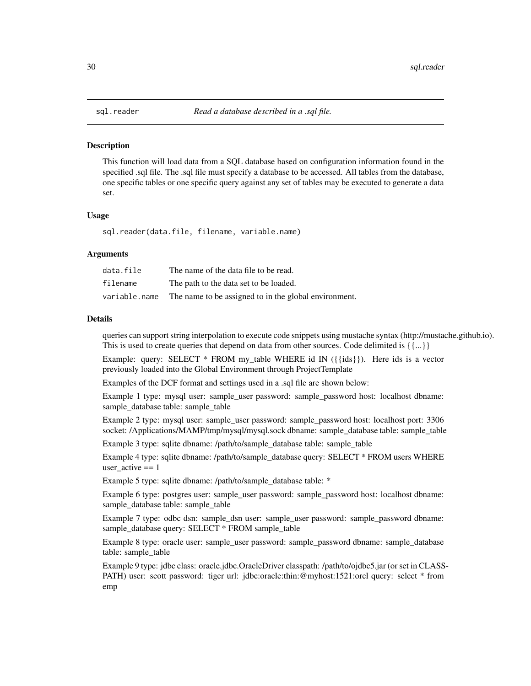<span id="page-29-1"></span><span id="page-29-0"></span>This function will load data from a SQL database based on configuration information found in the specified .sql file. The .sql file must specify a database to be accessed. All tables from the database, one specific tables or one specific query against any set of tables may be executed to generate a data set.

#### Usage

sql.reader(data.file, filename, variable.name)

#### Arguments

| data.file     | The name of the data file to be read.                 |
|---------------|-------------------------------------------------------|
| filename      | The path to the data set to be loaded.                |
| variable.name | The name to be assigned to in the global environment. |

#### Details

queries can support string interpolation to execute code snippets using mustache syntax (http://mustache.github.io). This is used to create queries that depend on data from other sources. Code delimited is  $\{\{\ldots\}\}\$ 

Example: query: SELECT  $*$  FROM my table WHERE id IN ({{ids}}). Here ids is a vector previously loaded into the Global Environment through ProjectTemplate

Examples of the DCF format and settings used in a .sql file are shown below:

Example 1 type: mysql user: sample\_user password: sample\_password host: localhost dbname: sample\_database table: sample\_table

Example 2 type: mysql user: sample\_user password: sample\_password host: localhost port: 3306 socket: /Applications/MAMP/tmp/mysql/mysql.sock dbname: sample\_database table: sample\_table

Example 3 type: sqlite dbname: /path/to/sample\_database table: sample\_table

Example 4 type: sqlite dbname: /path/to/sample\_database query: SELECT \* FROM users WHERE user\_active  $== 1$ 

Example 5 type: sqlite dbname: /path/to/sample\_database table: \*

Example 6 type: postgres user: sample\_user password: sample\_password host: localhost dbname: sample\_database table: sample\_table

Example 7 type: odbc dsn: sample\_dsn user: sample\_user password: sample\_password dbname: sample\_database query: SELECT \* FROM sample\_table

Example 8 type: oracle user: sample\_user password: sample\_password dbname: sample\_database table: sample\_table

Example 9 type: jdbc class: oracle.jdbc.OracleDriver classpath: /path/to/ojdbc5.jar (or set in CLASS-PATH) user: scott password: tiger url: jdbc:oracle:thin:@myhost:1521:orcl query: select \* from emp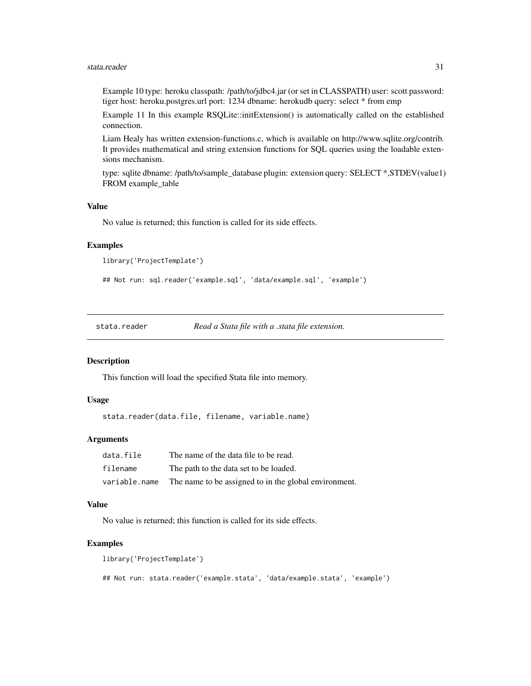#### <span id="page-30-0"></span>stata.reader 31

Example 10 type: heroku classpath: /path/to/jdbc4.jar (or set in CLASSPATH) user: scott password: tiger host: heroku.postgres.url port: 1234 dbname: herokudb query: select \* from emp

Example 11 In this example RSQLite::initExtension() is automatically called on the established connection.

Liam Healy has written extension-functions.c, which is available on http://www.sqlite.org/contrib. It provides mathematical and string extension functions for SQL queries using the loadable extensions mechanism.

type: sqlite dbname: /path/to/sample\_database plugin: extension query: SELECT \*,STDEV(value1) FROM example\_table

#### Value

No value is returned; this function is called for its side effects.

#### Examples

```
library('ProjectTemplate')
```

```
## Not run: sql.reader('example.sql', 'data/example.sql', 'example')
```
stata.reader *Read a Stata file with a .stata file extension.*

#### **Description**

This function will load the specified Stata file into memory.

#### Usage

stata.reader(data.file, filename, variable.name)

#### Arguments

| data.file     | The name of the data file to be read.                 |
|---------------|-------------------------------------------------------|
| filename      | The path to the data set to be loaded.                |
| variable.name | The name to be assigned to in the global environment. |

#### Value

No value is returned; this function is called for its side effects.

#### Examples

library('ProjectTemplate')

## Not run: stata.reader('example.stata', 'data/example.stata', 'example')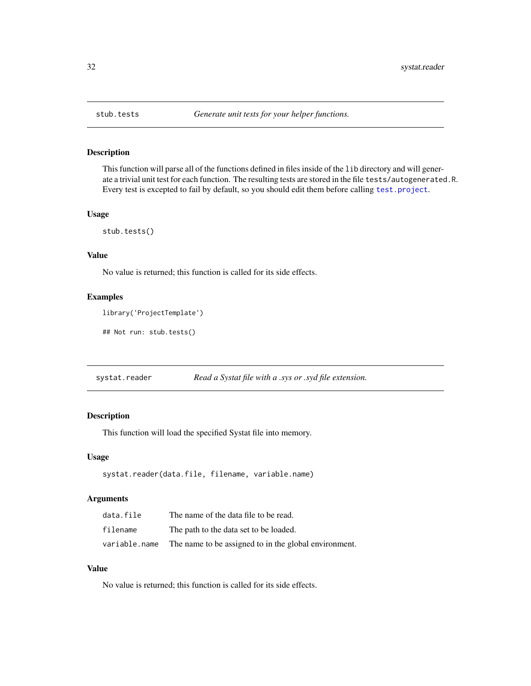<span id="page-31-0"></span>

This function will parse all of the functions defined in files inside of the lib directory and will generate a trivial unit test for each function. The resulting tests are stored in the file tests/autogenerated.R. Every test is excepted to fail by default, so you should edit them before calling [test.project](#page-32-1).

### Usage

stub.tests()

#### Value

No value is returned; this function is called for its side effects.

## Examples

```
library('ProjectTemplate')
```
## Not run: stub.tests()

| systat.reader |  | Read a Systat file with a .sys or .syd file extension. |
|---------------|--|--------------------------------------------------------|
|               |  |                                                        |

## Description

This function will load the specified Systat file into memory.

## Usage

```
systat.reader(data.file, filename, variable.name)
```
#### Arguments

| data.file     | The name of the data file to be read.                 |
|---------------|-------------------------------------------------------|
| filename      | The path to the data set to be loaded.                |
| variable.name | The name to be assigned to in the global environment. |

## Value

No value is returned; this function is called for its side effects.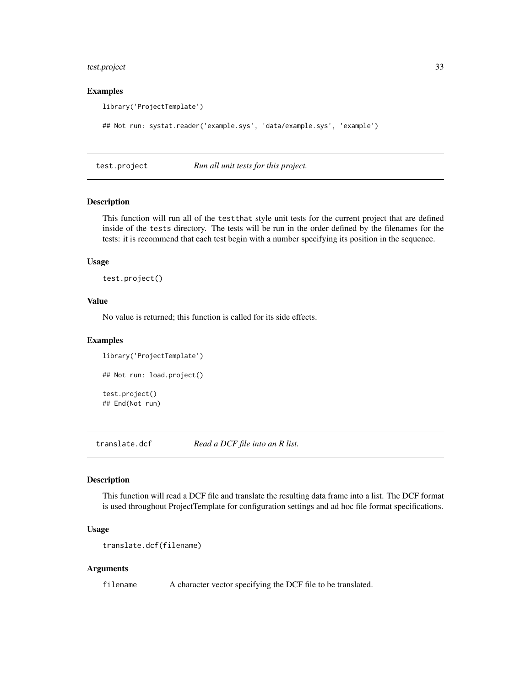## <span id="page-32-0"></span>test.project 33

#### Examples

library('ProjectTemplate')

```
## Not run: systat.reader('example.sys', 'data/example.sys', 'example')
```
<span id="page-32-1"></span>test.project *Run all unit tests for this project.*

## Description

This function will run all of the testthat style unit tests for the current project that are defined inside of the tests directory. The tests will be run in the order defined by the filenames for the tests: it is recommend that each test begin with a number specifying its position in the sequence.

### Usage

test.project()

## Value

No value is returned; this function is called for its side effects.

#### Examples

```
library('ProjectTemplate')
## Not run: load.project()
test.project()
## End(Not run)
```
translate.dcf *Read a DCF file into an R list.*

#### Description

This function will read a DCF file and translate the resulting data frame into a list. The DCF format is used throughout ProjectTemplate for configuration settings and ad hoc file format specifications.

#### Usage

```
translate.dcf(filename)
```
#### Arguments

filename A character vector specifying the DCF file to be translated.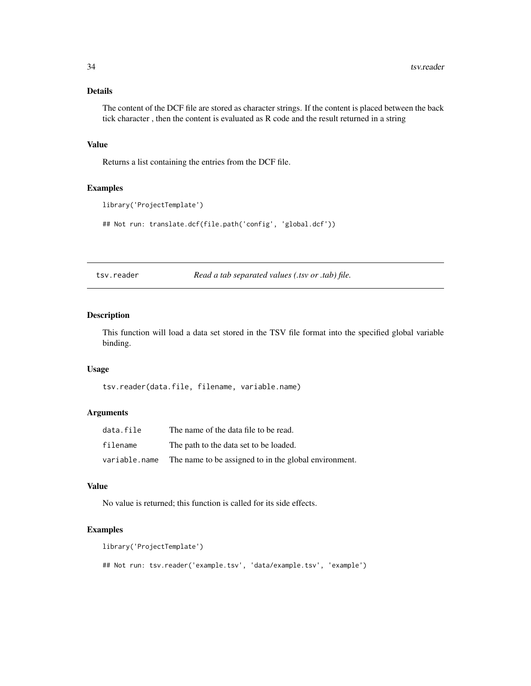## <span id="page-33-0"></span>Details

The content of the DCF file are stored as character strings. If the content is placed between the back tick character , then the content is evaluated as R code and the result returned in a string

#### Value

Returns a list containing the entries from the DCF file.

## Examples

```
library('ProjectTemplate')
```
## Not run: translate.dcf(file.path('config', 'global.dcf'))

tsv.reader *Read a tab separated values (.tsv or .tab) file.*

#### Description

This function will load a data set stored in the TSV file format into the specified global variable binding.

#### Usage

tsv.reader(data.file, filename, variable.name)

#### Arguments

| data.file     | The name of the data file to be read.                 |
|---------------|-------------------------------------------------------|
| filename      | The path to the data set to be loaded.                |
| variable.name | The name to be assigned to in the global environment. |

#### Value

No value is returned; this function is called for its side effects.

#### Examples

```
library('ProjectTemplate')
## Not run: tsv.reader('example.tsv', 'data/example.tsv', 'example')
```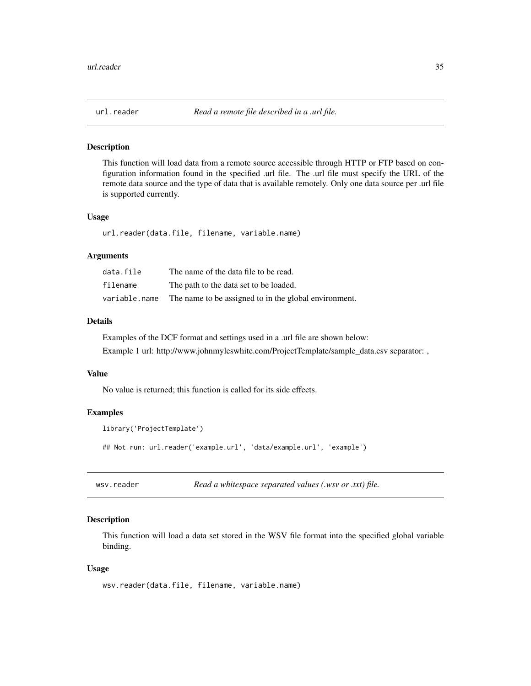<span id="page-34-0"></span>

This function will load data from a remote source accessible through HTTP or FTP based on configuration information found in the specified .url file. The .url file must specify the URL of the remote data source and the type of data that is available remotely. Only one data source per .url file is supported currently.

#### Usage

url.reader(data.file, filename, variable.name)

#### Arguments

| data.file     | The name of the data file to be read.                 |
|---------------|-------------------------------------------------------|
| filename      | The path to the data set to be loaded.                |
| variable.name | The name to be assigned to in the global environment. |

### Details

Examples of the DCF format and settings used in a .url file are shown below:

Example 1 url: http://www.johnmyleswhite.com/ProjectTemplate/sample\_data.csv separator: ,

#### Value

No value is returned; this function is called for its side effects.

#### Examples

```
library('ProjectTemplate')
## Not run: url.reader('example.url', 'data/example.url', 'example')
```
wsv.reader *Read a whitespace separated values (.wsv or .txt) file.*

### Description

This function will load a data set stored in the WSV file format into the specified global variable binding.

#### Usage

```
wsv.reader(data.file, filename, variable.name)
```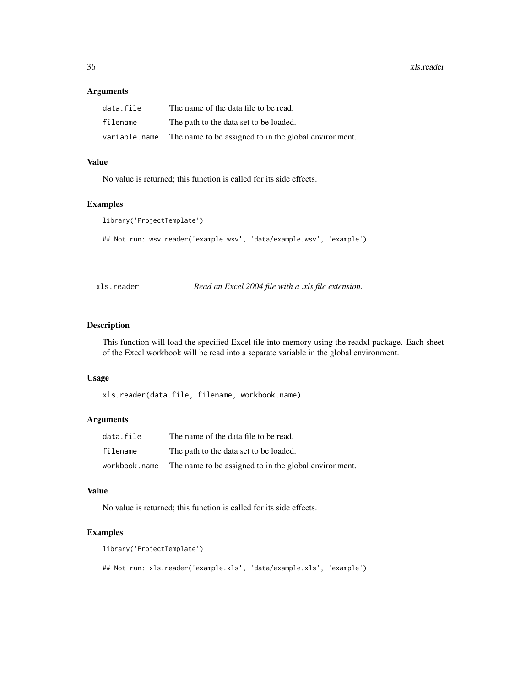<span id="page-35-0"></span>36 xls.reader

### Arguments

| data.file     | The name of the data file to be read.                 |
|---------------|-------------------------------------------------------|
| filename      | The path to the data set to be loaded.                |
| variable.name | The name to be assigned to in the global environment. |

## Value

No value is returned; this function is called for its side effects.

## Examples

library('ProjectTemplate')

## Not run: wsv.reader('example.wsv', 'data/example.wsv', 'example')

xls.reader *Read an Excel 2004 file with a .xls file extension.*

#### Description

This function will load the specified Excel file into memory using the readxl package. Each sheet of the Excel workbook will be read into a separate variable in the global environment.

#### Usage

xls.reader(data.file, filename, workbook.name)

## Arguments

| data.file     | The name of the data file to be read.                 |
|---------------|-------------------------------------------------------|
| filename      | The path to the data set to be loaded.                |
| workbook.name | The name to be assigned to in the global environment. |

## Value

No value is returned; this function is called for its side effects.

#### Examples

```
library('ProjectTemplate')
## Not run: xls.reader('example.xls', 'data/example.xls', 'example')
```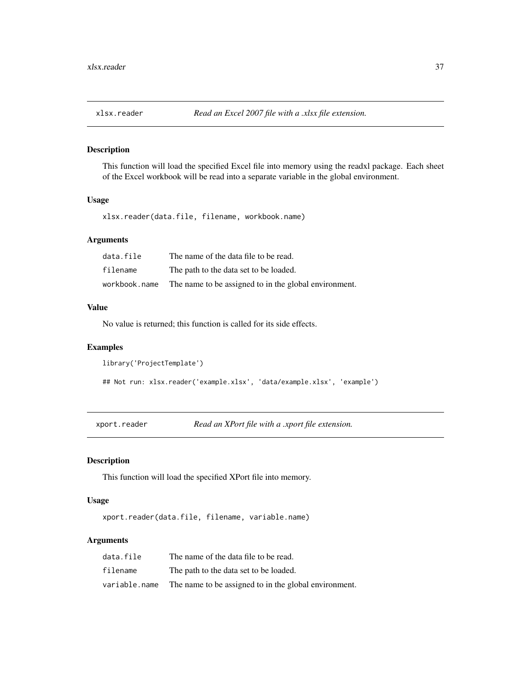<span id="page-36-0"></span>

This function will load the specified Excel file into memory using the readxl package. Each sheet of the Excel workbook will be read into a separate variable in the global environment.

## Usage

xlsx.reader(data.file, filename, workbook.name)

#### Arguments

| data.file     | The name of the data file to be read.                 |
|---------------|-------------------------------------------------------|
| filename      | The path to the data set to be loaded.                |
| workbook.name | The name to be assigned to in the global environment. |

#### Value

No value is returned; this function is called for its side effects.

## Examples

```
library('ProjectTemplate')
```
## Not run: xlsx.reader('example.xlsx', 'data/example.xlsx', 'example')

xport.reader *Read an XPort file with a .xport file extension.*

#### Description

This function will load the specified XPort file into memory.

## Usage

xport.reader(data.file, filename, variable.name)

#### Arguments

| data.file     | The name of the data file to be read.                 |
|---------------|-------------------------------------------------------|
| filename      | The path to the data set to be loaded.                |
| variable.name | The name to be assigned to in the global environment. |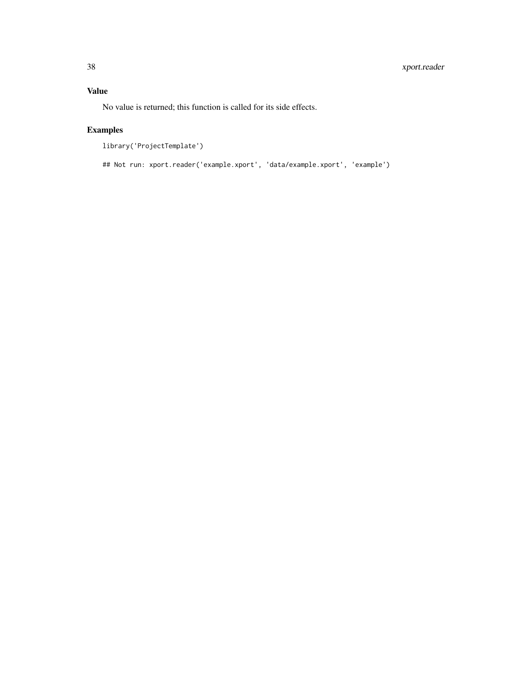No value is returned; this function is called for its side effects.

## Examples

```
library('ProjectTemplate')
```
## Not run: xport.reader('example.xport', 'data/example.xport', 'example')